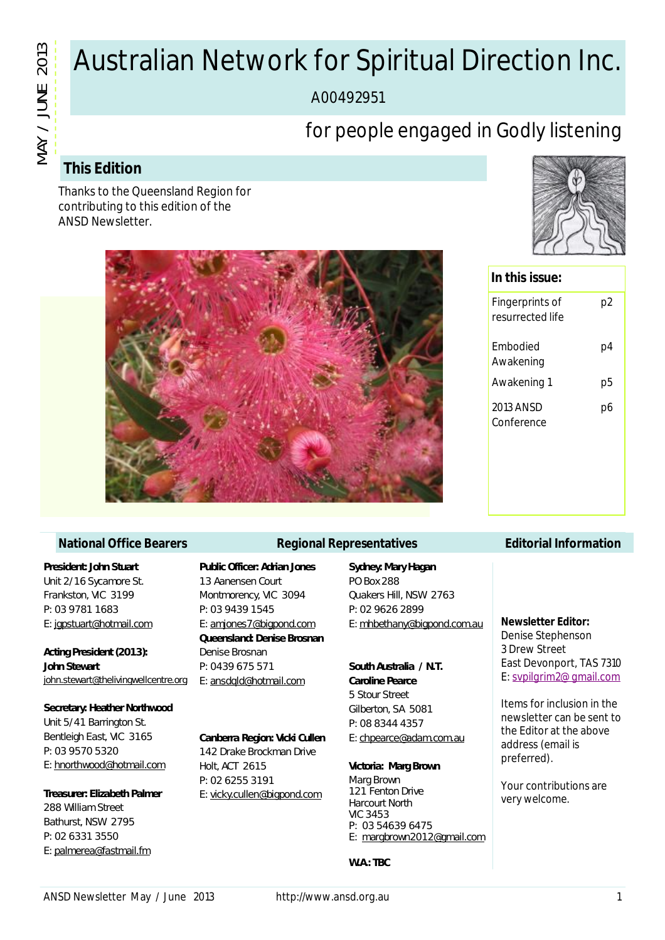# Australian Network for Spiritual Direction Inc.

A00492951

## for people engaged in Godly listening

### **This Edition**

Thanks to the Queensland Region for contributing to this edition of the ANSD Newsletter.



#### **In this issue:** Fingerprints of resurrected life p2 Embodied Awakening p4 Awakening 1 p5 2013 ANSD Conference p6

#### **National Office Bearers**

**President: John Stuart** Unit 2/16 Sycamore St. Frankston, VIC 3199 P: 03 9781 1683 E: jgpstuart@hotmail.com

**Acting President (2013): John Stewart** john.stewart@thelivingwellcentre.org

#### **Secretary: Heather Northwood**

Unit 5/41 Barrington St. Bentleigh East, VIC 3165 P: 03 9570 5320 E: hnorthwood@hotmail.com

**Treasurer: Elizabeth Palmer** 288 William Street Bathurst, NSW 2795 P: 02 6331 3550 E: palmerea@fastmail.fm

**Public Officer: Adrian Jones** 13 Aanensen Court Montmorency, VIC 3094 P: 03 9439 1545 E: amjones7@bigpond.com **Queensland: Denise Brosnan** Denise Brosnan P: 0439 675 571 E: ansdqld@hotmail.com

#### **Canberra Region: Vicki Cullen**

142 Drake Brockman Drive Holt, ACT 2615 P: 02 6255 3191 E: vicky.cullen@bigpond.com **Sydney: Mary Hagan** PO Box 288 Quakers Hill, NSW 2763 P: 02 9626 2899 E: mhbethany@bigpond.com.au

**Regional Representatives**

**South Australia / N.T. Caroline Pearce** 5 Stour Street Gilberton, SA 5081 P: 08 8344 4357 E: chpearce@adam.com.au

**Victoria: Marg Brown** Marg Brown 121 Fenton Drive Harcourt North VIC 3453 P: 03 54639 6475 E: margbrown2012@gmail.com

**W.A.: TBC**

#### **Editorial Information**

**Newsletter Editor:** Denise Stephenson 3 Drew Street

East Devonport, TAS 7310 E: svpilgrim2@gmail.com

Items for inclusion in the newsletter can be sent to the Editor at the above address (email is preferred).

Your contributions are very welcome.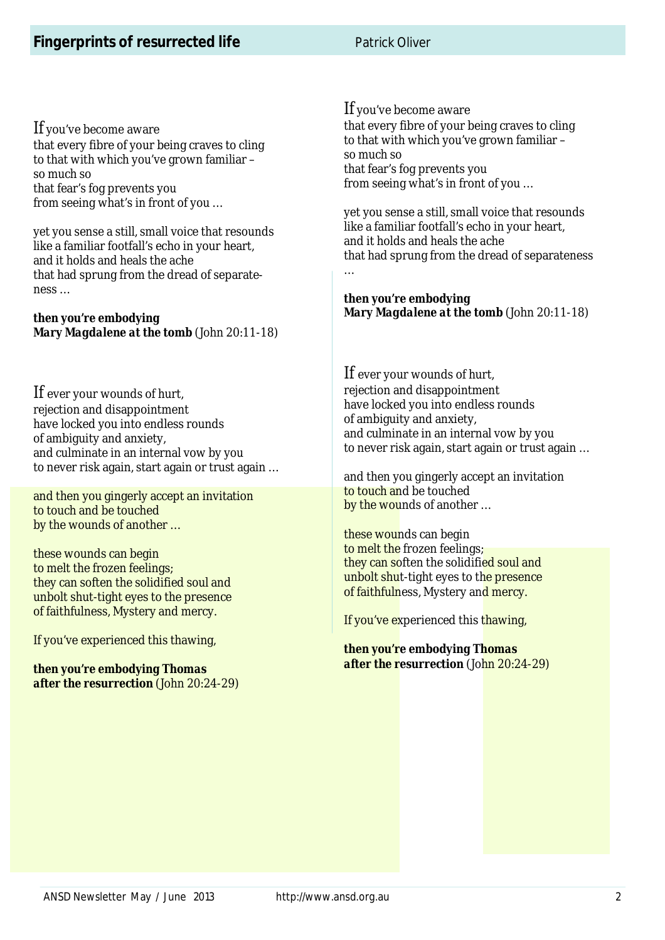#### **Fingerprints of resurrected life Patrick Oliver**

#### *If* you've become aware

that every fibre of your being craves to cling to that with which you've grown familiar – so much so that fear's fog prevents you from seeing what's in front of you …

yet you sense a still, small voice that resounds like a familiar footfall's echo in your heart, and it holds and heals the ache that had sprung from the dread of separateness …

*then you're embodying Mary Magdalene at the tomb* (John 20:11-18)

*If* ever your wounds of hurt, rejection and disappointment have locked you into endless rounds of ambiguity and anxiety, and culminate in an internal vow by you to never risk again, start again or trust again …

and then you gingerly accept an invitation to touch and be touched by the wounds of another …

these wounds can begin to melt the frozen feelings; they can soften the solidified soul and unbolt shut-tight eyes to the presence of faithfulness, Mystery and mercy.

If you've experienced this thawing,

*then you're embodying Thomas after the resurrection* (John 20:24-29)

*If* you've become aware that every fibre of your being craves to cling to that with which you've grown familiar – so much so that fear's fog prevents you from seeing what's in front of you …

yet you sense a still, small voice that resounds like a familiar footfall's echo in your heart, and it holds and heals the ache that had sprung from the dread of separateness …

*then you're embodying Mary Magdalene at the tomb* (John 20:11-18)

*If* ever your wounds of hurt, rejection and disappointment have locked you into endless rounds of ambiguity and anxiety, and culminate in an internal vow by you to never risk again, start again or trust again …

and then you gingerly accept an invitation to touch and be touched by the wounds of another ...

these wounds can begin to melt the frozen feelings; they can soften the solidified soul and unbolt shut-tight eyes to the presence of faithfulness, Mystery and mercy.

If you've experienced this thawing,

*then you're embodying Thomas*  **after the resurrection** (John 20:24-29)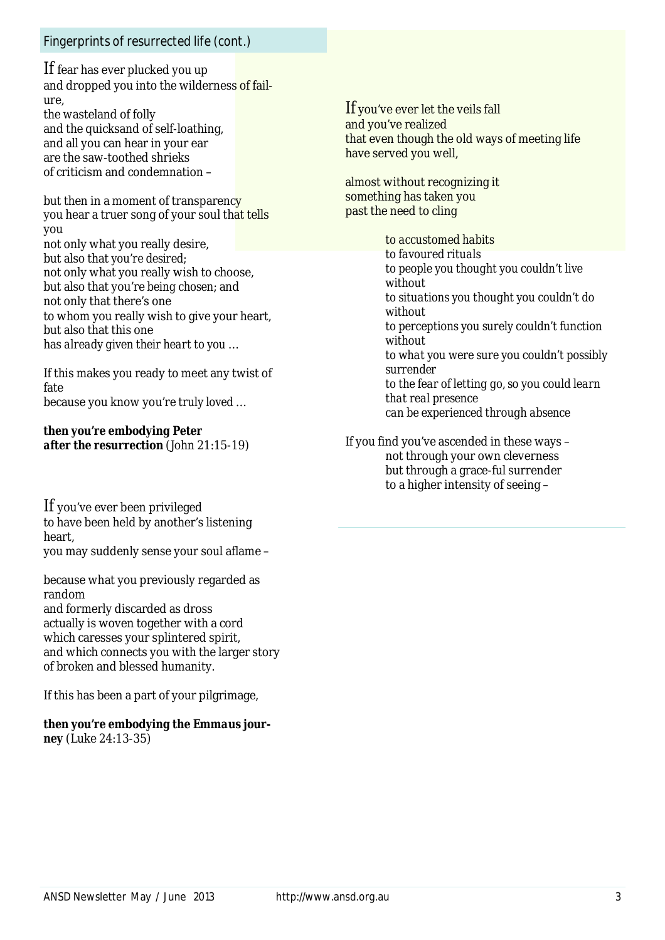#### *Fingerprints of resurrected life (cont.)*

*If* fear has ever plucked you up and dropped you into the wilderness of failure,

the wasteland of folly and the quicksand of self-loathing, and all you can hear in your ear are the saw-toothed shrieks of criticism and condemnation –

but then in a moment of transparency you hear a truer song of your soul that tells you

not only what you really desire, but also that *you're desired*; not only what you really wish to choose, but also that you're *being chosen*; and not only that there's one to whom you really wish to give your heart, but also that this one has *already given their heart to you* …

If this makes you ready to meet any twist of fate because you know you're *truly loved* …

*then you're embodying Peter after the resurrection* (John 21:15-19)

*If* you've ever been privileged to have been held by another's listening heart,

you may suddenly sense your soul aflame –

because what you previously regarded as random and formerly discarded as dross actually is woven together with a cord which caresses your splintered spirit, and which connects you with the larger story of broken and blessed humanity.

If this has been a part of your pilgrimage,

*then you're embodying the Emmaus journey* (Luke 24:13-35)

#### *If* you've ever let the veils fall

and you've realized that even though the old ways of meeting life have served you well,

almost without recognizing it something has taken you past the need to cling

> *to accustomed habits to favoured rituals to people you thought you couldn't live without to situations you thought you couldn't do without to perceptions you surely couldn't function without to what you were sure you couldn't possibly surrender to the fear of letting go, so you could learn that real presence can be experienced through absence*

If you find you've ascended in these ways – not through your own cleverness but through a grace-ful surrender to a higher intensity of seeing –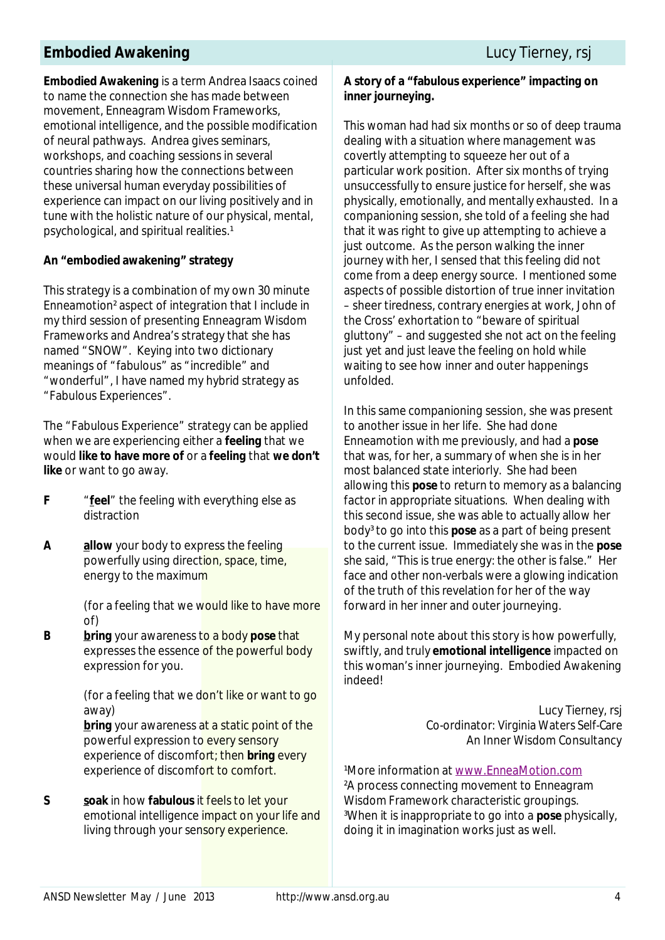#### **Embodied Awakening Embodied Awakening Lucy Tierney, rsj**

**Embodied Awakening** is a term Andrea Isaacs coined to name the connection she has made between movement, Enneagram Wisdom Frameworks, emotional intelligence, and the possible modification of neural pathways. Andrea gives seminars, workshops, and coaching sessions in several countries sharing how the connections between these universal human everyday possibilities of experience can impact on our living positively and in tune with the holistic nature of our physical, mental, psychological, and spiritual realities.<sup>1</sup>

#### **An "embodied awakening" strategy**

This strategy is a combination of my own 30 minute Enneamotion² aspect of integration that I include in my third session of presenting Enneagram Wisdom Frameworks and Andrea's strategy that she has named "SNOW". Keying into two dictionary meanings of "fabulous" as "incredible" and "wonderful", I have named my hybrid strategy as "Fabulous Experiences".

The "Fabulous Experience" strategy can be applied when we are experiencing either a **feeling** that we would **like to have more of** or a **feeling** that **we don't like** or want to go away.

- **F** "**feel**" the feeling with everything else as distraction
- **A allow** your body to express the feeling powerfully using direction, space, time, energy to the maximum

(for a feeling that we would like to have more of)

**B bring** your awareness to a body **pose** that expresses the essence of the powerful body expression for you.

> (for a feeling that we don't like or want to go away)

**bring** your awareness at a static point of the powerful expression to every sensory experience of discomfort; then **bring** every experience of discomfort to comfort.

**S soak** in how **fabulous** it feels to let your emotional intelligence *impact* on your life and living through your sensory experience.

#### **A story of a "fabulous experience" impacting on inner journeying.**

This woman had had six months or so of deep trauma dealing with a situation where management was covertly attempting to squeeze her out of a particular work position. After six months of trying unsuccessfully to ensure justice for herself, she was physically, emotionally, and mentally exhausted. In a companioning session, she told of a feeling she had that it was right to give up attempting to achieve a just outcome. As the person walking the inner journey with her, I sensed that this feeling did not come from a deep energy source. I mentioned some aspects of possible distortion of true inner invitation – sheer tiredness, contrary energies at work, John of the Cross' exhortation to "beware of spiritual gluttony" – and suggested she not act on the feeling just yet and just leave the feeling on hold while waiting to see how inner and outer happenings unfolded.

In this same companioning session, she was present to another issue in her life. She had done Enneamotion with me previously, and had a **pose** that was, for her, a summary of when she is in her most balanced state interiorly. She had been allowing this **pose** to return to memory as a balancing factor in appropriate situations. When dealing with this second issue, she was able to actually allow her body³ to go into this **pose** as a part of being present to the current issue. Immediately she was in the **pose** she said, "This is true energy: the other is false." Her face and other non-verbals were a glowing indication of the truth of this revelation for her of the way forward in her inner and outer journeying.

My personal note about this story is how powerfully, swiftly, and truly **emotional intelligence** impacted on this woman's inner journeying. Embodied Awakening indeed!

> Lucy Tierney, rsj Co-ordinator: *Virginia Waters Self-Care* An Inner Wisdom Consultancy

<sup>1</sup>More information at www.EnneaMotion.com ²A process connecting movement to Enneagram Wisdom Framework characteristic groupings. ³When it is inappropriate to go into a **pose** physically, doing it in imagination works just as well.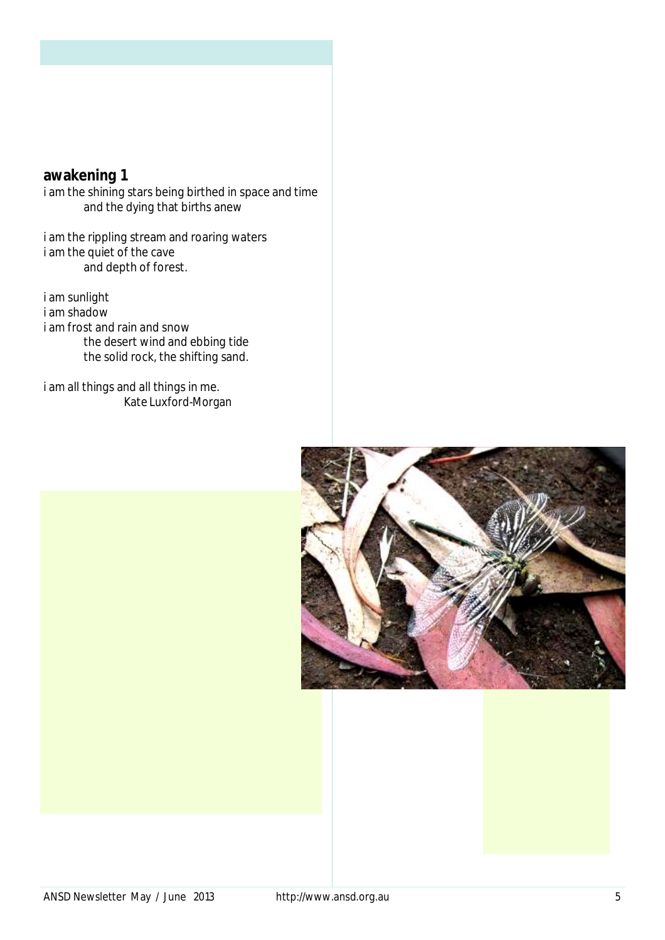#### **awakening 1**

i am the shining stars being birthed in space and time and the dying that births anew

i am the rippling stream and roaring waters i am the quiet of the cave and depth of forest.

i am sunlight i am shadow i am frost and rain and snow the desert wind and ebbing tide the solid rock, the shifting sand.

i am all things and all things in me. *Kate Luxford-Morgan* 

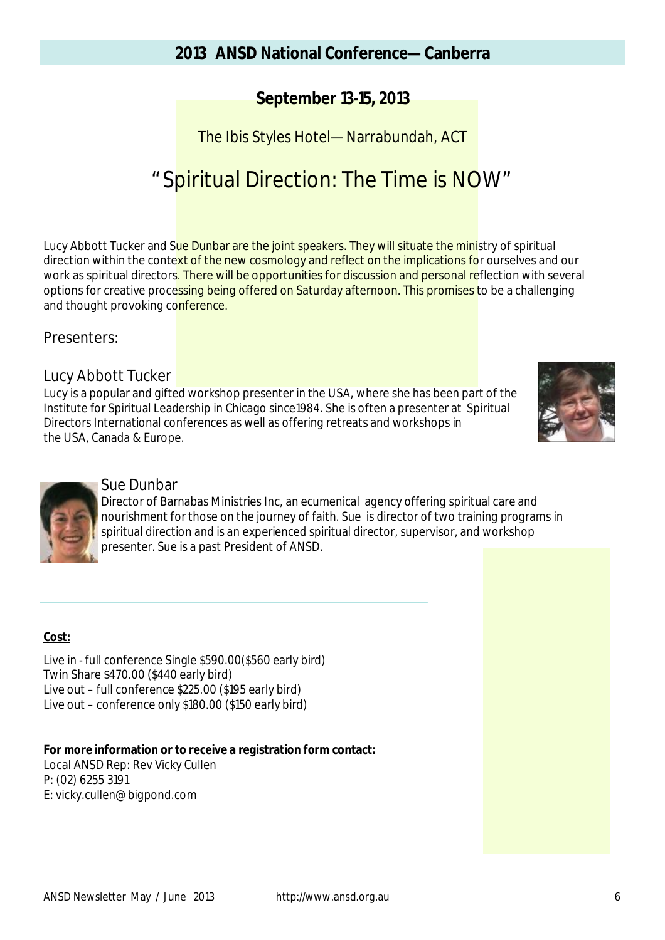### **2013 ANSD National Conference—Canberra**

### **September 13-15, 2013**

The Ibis Styles Hotel—Narrabundah, ACT

# "Spiritual Direction: The Time is NOW"

Lucy Abbott Tucker and Sue Dunbar are the joint speakers. They will situate the ministry of spiritual direction within the context of the new cosmology and reflect on the implications for ourselves and our work as spiritual directors. There will be opportunities for discussion and personal reflection with several options for creative processing being offered on Saturday afternoon. This promises to be a challenging and thought provoking conference.

Presenters:

#### Lucy Abbott Tucker

Lucy is a popular and gifted workshop presenter in the USA, where she has been part of the Institute for Spiritual Leadership in Chicago since1984. She is often a presenter at Spiritual Directors International conferences as well as offering retreats and workshops in the USA, Canada & Europe.





#### Sue Dunbar

Director of Barnabas Ministries Inc, an ecumenical agency offering spiritual care and nourishment for those on the journey of faith. Sue is director of two training programs in spiritual direction and is an experienced spiritual director, supervisor, and workshop presenter. Sue is a past President of ANSD.

#### **Cost:**

Live in - full conference Single \$590.00(\$560 early bird) Twin Share \$470.00 (\$440 early bird) Live out – full conference \$225.00 (\$195 early bird) Live out – conference only \$180.00 (\$150 early bird)

#### **For more information or to receive a registration form contact:**

Local ANSD Rep: Rev Vicky Cullen P: (02) 6255 3191 E: vicky.cullen@bigpond.com